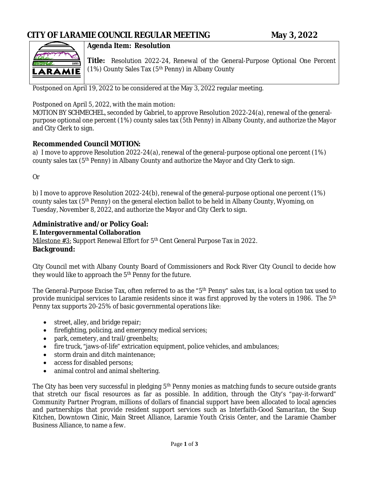# **CITY OF LARAMIE COUNCIL REGULAR MEETING May 3, 2022**



### **Agenda Item: Resolution**

**Title:** Resolution 2022-24, Renewal of the General-Purpose Optional One Percent (1%) County Sales Tax ( $5<sup>th</sup>$  Penny) in Albany County

Postponed on April 19, 2022 to be considered at the May 3, 2022 regular meeting.

Postponed on April 5, 2022, with the main motion:

MOTION BY SCHMECHEL, seconded by Gabriel, to approve Resolution 2022-24(a), renewal of the generalpurpose optional one percent (1%) county sales tax (5th Penny) in Albany County, and authorize the Mayor and City Clerk to sign.

## **Recommended Council MOTION:**

a) I move to approve Resolution 2022-24(a), renewal of the general-purpose optional one percent (1%) county sales tax (5th Penny) in Albany County and authorize the Mayor and City Clerk to sign.

Or

b) I move to approve Resolution 2022-24(b), renewal of the general-purpose optional one percent (1%) county sales tax (5th Penny) on the general election ballot to be held in Albany County, Wyoming, on Tuesday, November 8, 2022, and authorize the Mayor and City Clerk to sign.

## **Administrative and/or Policy Goal:**

#### **E. Intergovernmental Collaboration**

Milestone #3: Support Renewal Effort for 5<sup>th</sup> Cent General Purpose Tax in 2022. **Background:**

City Council met with Albany County Board of Commissioners and Rock River City Council to decide how they would like to approach the 5<sup>th</sup> Penny for the future.

The General-Purpose Excise Tax, often referred to as the "5<sup>th</sup> Penny" sales tax, is a local option tax used to provide municipal services to Laramie residents since it was first approved by the voters in 1986. The  $5^{\rm th}$ Penny tax supports 20-25% of basic governmental operations like:

- street, alley, and bridge repair;
- firefighting, policing, and emergency medical services;
- park, cemetery, and trail/greenbelts;
- fire truck, "jaws-of-life" extrication equipment, police vehicles, and ambulances;
- storm drain and ditch maintenance;
- access for disabled persons;
- animal control and animal sheltering.

The City has been very successful in pledging 5<sup>th</sup> Penny monies as matching funds to secure outside grants that stretch our fiscal resources as far as possible. In addition, through the City's "pay-it-forward" Community Partner Program, millions of dollars of financial support have been allocated to local agencies and partnerships that provide resident support services such as Interfaith-Good Samaritan, the Soup Kitchen, Downtown Clinic, Main Street Alliance, Laramie Youth Crisis Center, and the Laramie Chamber Business Alliance, to name a few.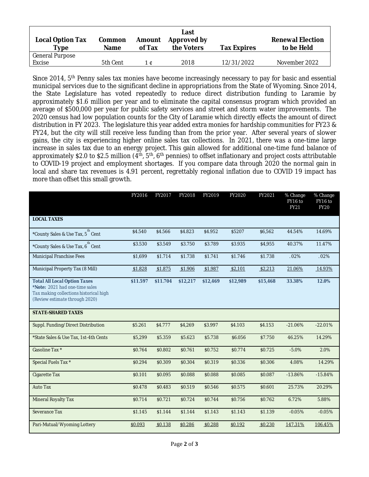| <b>Local Option Tax</b><br><b>Type</b> | Common<br><b>Name</b> | Last<br><b>Approved by</b><br>Amount<br>the Voters<br>of Tax |      | <b>Tax Expires</b> | <b>Renewal Election</b><br>to be Held |  |
|----------------------------------------|-----------------------|--------------------------------------------------------------|------|--------------------|---------------------------------------|--|
| <b>General Purpose</b>                 |                       |                                                              |      |                    |                                       |  |
| Excise                                 | 5th Cent              | 1 ¢                                                          | 2018 | 12/31/2022         | November 2022                         |  |

Since 2014, 5<sup>th</sup> Penny sales tax monies have become increasingly necessary to pay for basic and essential municipal services due to the significant decline in appropriations from the State of Wyoming. Since 2014, the State Legislature has voted repeatedly to reduce direct distribution funding to Laramie by approximately \$1.6 million per year and to eliminate the capital consensus program which provided an average of \$500,000 per year for public safety services and street and storm water improvements. The 2020 census had low population counts for the City of Laramie which directly effects the amount of direct distribution in FY 2023. The legislature this year added extra monies for hardship communities for FY23 & FY24, but the city will still receive less funding than from the prior year. After several years of slower gains, the city is experiencing higher online sales tax collections. In 2021, there was a one-time large increase in sales tax due to an energy project. This gain allowed for additional one-time fund balance of approximately \$2.0 to \$2.5 million  $(4^{\text{th}}, 5^{\text{th}}, 6^{\text{th}}$  pennies) to offset inflationary and project costs attributable to COVID-19 project and employment shortages. If you compare data through 2020 the normal gain in local and share tax revenues is 4.91 percent, regrettably regional inflation due to COVID 19 impact has more than offset this small growth.

|                                                                                                                                                          | FY2016         | FY2017   | FY2018   | FY2019   | FY2020   | FY2021   | % Change<br>FY16 to<br>FY21 | % Change<br>FY16 to<br><b>FY20</b> |
|----------------------------------------------------------------------------------------------------------------------------------------------------------|----------------|----------|----------|----------|----------|----------|-----------------------------|------------------------------------|
| <b>LOCAL TAXES</b>                                                                                                                                       |                |          |          |          |          |          |                             |                                    |
| *County Sales & Use Tax, $5^{\rm th}$ Cent                                                                                                               | \$4.540        | \$4.566  | \$4.823  | \$4.952  | \$5207   | \$6,562  | 44.54%                      | 14.69%                             |
| th<br>*County Sales & Use Tax, 6 Cent                                                                                                                    | \$3.530        | \$3.549  | \$3.750  | \$3.789  | \$3.935  | \$4,955  | 40.37%                      | 11.47%                             |
| Municipal Franchise Fees                                                                                                                                 | \$1,699        | \$1.714  | \$1.738  | \$1.741  | \$1.746  | \$1.738  | .02%                        | .02%                               |
| Municipal Property Tax (8 Mill)                                                                                                                          | \$1.828        | \$1.875  | \$1.906  | \$1.987  | \$2,101  | \$2,213  | 21.06%                      | 14.93%                             |
| <b>Total All Local Option Taxes</b><br><i>*Note: 2021 had one-time sales</i><br>Tax making collections historical high<br>(Review estimate through 2020) | <b>S11.597</b> | \$11.704 | \$12,217 | \$12,469 | \$12,989 | \$15,468 | 33.38%                      | 12.0%                              |
| <b>STATE-SHARED TAXES</b>                                                                                                                                |                |          |          |          |          |          |                             |                                    |
| Suppl. Funding/Direct Distribution                                                                                                                       | \$5.261        | \$4.777  | \$4,269  | \$3.997  | \$4.103  | \$4.153  | $-21.06%$                   | $-22.01%$                          |
| *State Sales & Use Tax, 1st-4th Cents                                                                                                                    | \$5,299        | \$5.359  | \$5.623  | \$5.738  | \$6.056  | \$7.750  | 46.25%                      | 14.29%                             |
| Gasoline Tax*                                                                                                                                            | \$0.764        | \$0.802  | \$0.761  | \$0.752  | \$0.774  | \$0.725  | $-5.0\%$                    | 2.0%                               |
| Special Fuels Tax*                                                                                                                                       | \$0.294        | \$0.309  | \$0.304  | \$0.319  | \$0.336  | \$0.306  | 4.08%                       | 14.29%                             |
| Cigarette Tax                                                                                                                                            | \$0.101        | \$0.095  | \$0.088  | \$0.088  | \$0.085  | \$0.087  | $-13.86%$                   | $-15.84%$                          |
| <b>Auto Tax</b>                                                                                                                                          | \$0.478        | \$0.483  | \$0.519  | \$0.546  | \$0.575  | \$0.601  | 25.73%                      | 20.29%                             |
| Mineral Royalty Tax                                                                                                                                      | \$0.714        | \$0.721  | \$0.724  | \$0.744  | \$0.756  | \$0.762  | 6.72%                       | 5.88%                              |
| Severance Tax                                                                                                                                            | \$1.145        | \$1.144  | \$1.144  | \$1.143  | \$1.143  | \$1.139  | $-0.05%$                    | $-0.05%$                           |
| Pari-Mutual/Wyoming Lottery                                                                                                                              | \$0.093        | \$0.138  | \$0.286  | \$0.288  | \$0.192  | \$0.230  | 147.31%                     | 106.45%                            |